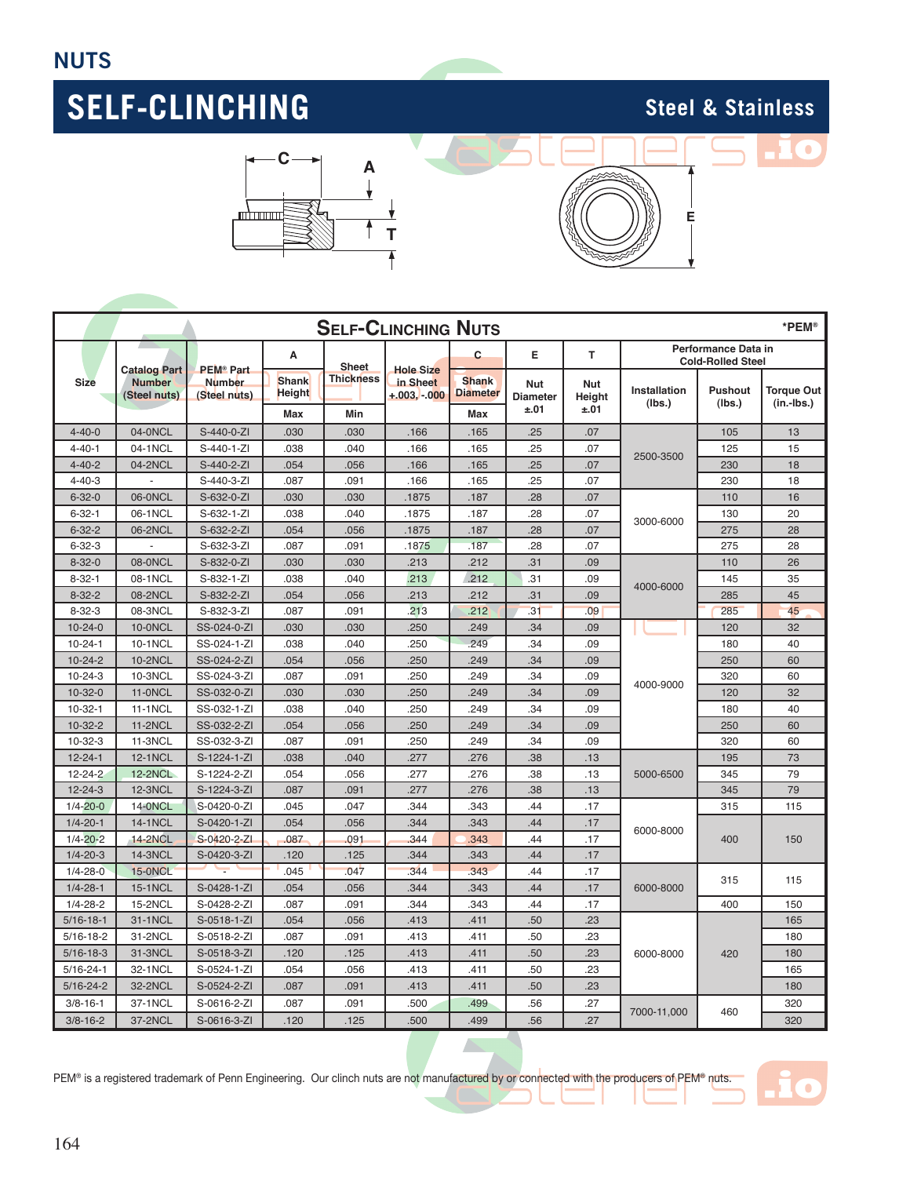





| <b>SELF-CLINCHING NUTS</b><br>*PEM® |                                                      |                               |                               |                  |                           |                                 |                               |                      |                        |                                                 |                                   |
|-------------------------------------|------------------------------------------------------|-------------------------------|-------------------------------|------------------|---------------------------|---------------------------------|-------------------------------|----------------------|------------------------|-------------------------------------------------|-----------------------------------|
|                                     |                                                      | <b>PEM® Part</b>              | A                             | <b>Sheet</b>     | <b>Hole Size</b>          | C                               | E                             | T                    |                        | Performance Data in<br><b>Cold-Rolled Steel</b> |                                   |
| <b>Size</b>                         | <b>Catalog Part</b><br><b>Number</b><br>(Steel nuts) | <b>Number</b><br>(Steel nuts) | <b>Shank</b><br><b>Height</b> | <b>Thickness</b> | in Sheet<br>$+.003.-.000$ | <b>Shank</b><br><b>Diameter</b> | <b>Nut</b><br><b>Diameter</b> | <b>Nut</b><br>Height | Installation<br>(lbs.) | <b>Pushout</b><br>(lbs.)                        | <b>Torque Out</b><br>$(in.-lbs.)$ |
|                                     |                                                      |                               | Max                           | Min              |                           | Max                             | ±.01                          | ±.01                 |                        |                                                 |                                   |
| $4 - 40 - 0$                        | 04-0NCL                                              | S-440-0-ZI                    | .030                          | .030             | .166                      | .165                            | .25                           | .07                  | 2500-3500              | 105                                             | 13                                |
| $4 - 40 - 1$                        | 04-1NCL                                              | $S-440-1-ZI$                  | .038                          | .040             | .166                      | .165                            | .25                           | .07                  |                        | 125                                             | 15                                |
| $4 - 40 - 2$                        | 04-2NCL                                              | S-440-2-ZI                    | .054                          | .056             | .166                      | .165                            | .25                           | .07                  |                        | 230                                             | 18                                |
| $4 - 40 - 3$                        | $\overline{\phantom{a}}$                             | S-440-3-ZI                    | .087                          | .091             | .166                      | .165                            | .25                           | .07                  |                        | 230                                             | 18                                |
| $6 - 32 - 0$                        | 06-0NCL                                              | S-632-0-ZI                    | .030                          | .030             | .1875                     | .187                            | .28                           | .07                  | 3000-6000              | 110                                             | 16                                |
| $6 - 32 - 1$                        | 06-1NCL                                              | S-632-1-ZI                    | .038                          | .040             | .1875                     | .187                            | .28                           | .07                  |                        | 130                                             | 20                                |
| $6 - 32 - 2$                        | 06-2NCL                                              | S-632-2-ZI                    | .054                          | .056             | .1875                     | .187                            | .28                           | .07                  |                        | 275                                             | 28                                |
| $6 - 32 - 3$                        |                                                      | S-632-3-ZI                    | .087                          | .091             | .1875                     | .187                            | .28                           | .07                  |                        | 275                                             | 28                                |
| $8 - 32 - 0$                        | 08-0NCL                                              | S-832-0-ZI                    | .030                          | .030             | .213                      | .212                            | .31                           | .09                  |                        | 110                                             | 26                                |
| $8 - 32 - 1$                        | 08-1NCL                                              | S-832-1-ZI                    | .038                          | .040             | .213                      | .212                            | .31                           | .09                  | 4000-6000              | 145                                             | 35                                |
| $8 - 32 - 2$                        | 08-2NCL                                              | S-832-2-ZI                    | .054                          | .056             | .213                      | .212                            | .31                           | .09                  |                        | 285                                             | 45                                |
| $8 - 32 - 3$                        | 08-3NCL                                              | S-832-3-ZI                    | .087                          | .091             | 213                       | .212                            | .31                           | .09                  |                        | 285                                             | 45                                |
| $10 - 24 - 0$                       | 10-0NCL                                              | SS-024-0-ZI                   | .030                          | .030             | .250                      | .249                            | .34                           | .09                  |                        | 120                                             | 32                                |
| $10 - 24 - 1$                       | 10-1NCL                                              | SS-024-1-ZI                   | .038                          | .040             | .250                      | 249                             | .34                           | .09                  | 4000-9000              | 180                                             | 40                                |
| $10 - 24 - 2$                       | <b>10-2NCL</b>                                       | SS-024-2-ZI                   | .054                          | .056             | .250                      | .249                            | .34                           | .09                  |                        | 250                                             | 60                                |
| $10 - 24 - 3$                       | 10-3NCL                                              | SS-024-3-ZI                   | .087                          | .091             | .250                      | .249                            | .34                           | .09                  |                        | 320                                             | 60                                |
| $10 - 32 - 0$                       | <b>11-0NCL</b>                                       | SS-032-0-ZI                   | .030                          | .030             | .250                      | .249                            | .34                           | .09                  |                        | 120                                             | 32                                |
| $10-32-1$                           | <b>11-1NCL</b>                                       | SS-032-1-ZI                   | .038                          | .040             | .250                      | 249                             | .34                           | .09                  |                        | 180                                             | 40                                |
| 10-32-2                             | <b>11-2NCL</b>                                       | SS-032-2-ZI                   | .054                          | .056             | .250                      | .249                            | .34                           | .09                  |                        | 250                                             | 60                                |
| $10-32-3$                           | <b>11-3NCL</b>                                       | SS-032-3-ZI                   | .087                          | .091             | .250                      | .249                            | .34                           | .09                  |                        | 320                                             | 60                                |
| $12 - 24 - 1$                       | <b>12-1NCL</b>                                       | S-1224-1-ZI                   | .038                          | .040             | .277                      | .276                            | .38                           | .13                  | 5000-6500              | 195                                             | 73                                |
| 12-24-2                             | <b>12-2NCL</b>                                       | S-1224-2-ZI                   | .054                          | .056             | .277                      | .276                            | .38                           | .13                  |                        | 345                                             | 79                                |
| $12 - 24 - 3$                       | <b>12-3NCL</b>                                       | S-1224-3-ZI                   | .087                          | .091             | .277                      | .276                            | .38                           | .13                  |                        | 345                                             | 79                                |
| $1/4 - 20 - 0$                      | <b>14-0NCL</b>                                       | S-0420-0-ZI                   | .045                          | .047             | .344                      | .343                            | .44                           | .17                  | 6000-8000              | 315                                             | 115                               |
| $1/4 - 20 - 1$                      | <b>14-1NCL</b>                                       | S-0420-1-ZI                   | .054                          | .056             | .344                      | .343                            | .44                           | .17                  |                        | 400                                             | 150                               |
| $1/4 - 20 - 2$                      | <b>14-2NCL</b>                                       | S-0420-2-ZI                   | .087                          | .091             | .344                      | .343                            | .44                           | .17                  |                        |                                                 |                                   |
| $1/4 - 20 - 3$                      | <b>14-3NCL</b>                                       | S-0420-3-ZI                   | .120                          | .125             | .344                      | .343                            | .44                           | .17                  |                        |                                                 |                                   |
| $1/4 - 28 - 0$                      | <b>15-0NCL</b>                                       |                               | .045                          | .047             | 344                       | 343                             | .44                           | .17                  | 6000-8000              | 315                                             | 115                               |
| $1/4 - 28 - 1$                      | <b>15-1NCL</b>                                       | S-0428-1-ZI                   | .054                          | .056             | .344                      | .343                            | .44                           | .17                  |                        |                                                 |                                   |
| $1/4 - 28 - 2$                      | <b>15-2NCL</b>                                       | S-0428-2-ZI                   | .087                          | .091             | .344                      | .343                            | .44                           | .17                  |                        | 400                                             | 150                               |
| $5/16 - 18 - 1$                     | 31-1NCL                                              | S-0518-1-ZI                   | .054                          | .056             | .413                      | .411                            | .50                           | .23                  |                        | 420                                             | 165                               |
| $5/16 - 18 - 2$                     | 31-2NCL                                              | S-0518-2-ZI                   | .087                          | .091             | .413                      | .411                            | .50                           | .23                  | 6000-8000              |                                                 | 180                               |
| $5/16 - 18 - 3$                     | 31-3NCL                                              | S-0518-3-ZI                   | .120                          | .125             | .413                      | .411                            | .50                           | .23                  |                        |                                                 | 180                               |
| $5/16 - 24 - 1$                     | 32-1NCL                                              | S-0524-1-ZI                   | .054                          | .056             | .413                      | .411                            | .50                           | .23                  |                        |                                                 | 165                               |
| $5/16 - 24 - 2$                     | 32-2NCL                                              | S-0524-2-ZI                   | .087                          | .091             | .413                      | .411                            | .50                           | .23                  |                        |                                                 | 180                               |
| $3/8 - 16 - 1$                      | 37-1NCL                                              | S-0616-2-ZI                   | .087                          | .091             | .500                      | .499                            | .56                           | .27                  | 7000-11.000            | 460                                             | 320                               |
| $3/8 - 16 - 2$                      | 37-2NCL                                              | S-0616-3-ZI                   | .120                          | .125             | .500                      | .499                            | .56                           | .27                  |                        |                                                 | 320                               |

PEM® is a registered trademark of Penn Engineering. Our clinch nuts are not manufactured by or connected with the producers of PEM® nuts.